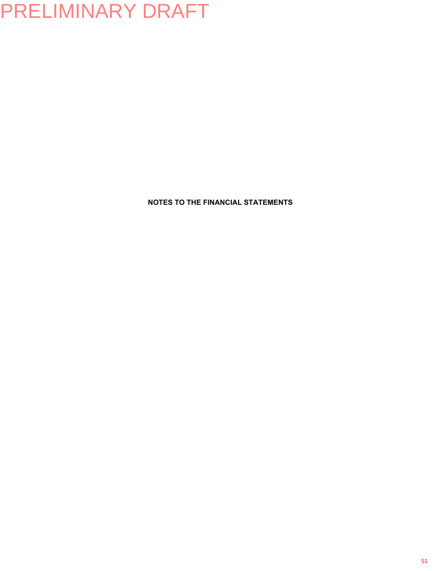**NOTES TO THE FINANCIAL STATEMENTS**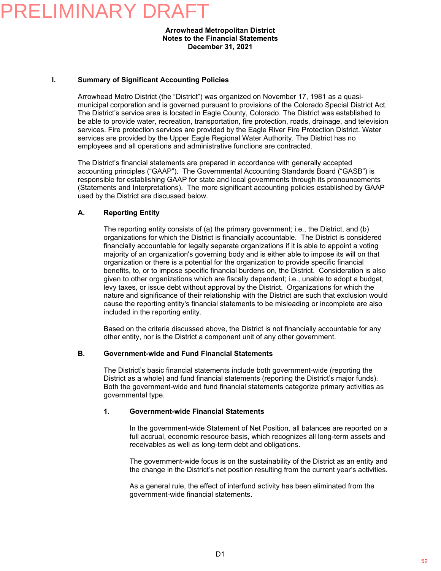#### **Arrowhead Metropolitan District Notes to the Financial Statements December 31, 2021**

#### **I. Summary of Significant Accounting Policies**

Arrowhead Metro District (the "District") was organized on November 17, 1981 as a quasimunicipal corporation and is governed pursuant to provisions of the Colorado Special District Act. The District's service area is located in Eagle County, Colorado. The District was established to be able to provide water, recreation, transportation, fire protection, roads, drainage, and television services. Fire protection services are provided by the Eagle River Fire Protection District. Water services are provided by the Upper Eagle Regional Water Authority. The District has no employees and all operations and administrative functions are contracted.

The District's financial statements are prepared in accordance with generally accepted accounting principles ("GAAP"). The Governmental Accounting Standards Board ("GASB") is responsible for establishing GAAP for state and local governments through its pronouncements (Statements and Interpretations). The more significant accounting policies established by GAAP used by the District are discussed below.

#### **A. Reporting Entity**

The reporting entity consists of (a) the primary government; i.e., the District, and (b) organizations for which the District is financially accountable. The District is considered financially accountable for legally separate organizations if it is able to appoint a voting majority of an organization's governing body and is either able to impose its will on that organization or there is a potential for the organization to provide specific financial benefits, to, or to impose specific financial burdens on, the District. Consideration is also given to other organizations which are fiscally dependent; i.e., unable to adopt a budget, levy taxes, or issue debt without approval by the District. Organizations for which the nature and significance of their relationship with the District are such that exclusion would cause the reporting entity's financial statements to be misleading or incomplete are also included in the reporting entity.

Based on the criteria discussed above, the District is not financially accountable for any other entity, nor is the District a component unit of any other government.

#### **B. Government-wide and Fund Financial Statements**

The District's basic financial statements include both government-wide (reporting the District as a whole) and fund financial statements (reporting the District's major funds). Both the government-wide and fund financial statements categorize primary activities as governmental type.

#### **1. Government-wide Financial Statements**

In the government-wide Statement of Net Position, all balances are reported on a full accrual, economic resource basis, which recognizes all long-term assets and receivables as well as long-term debt and obligations.

The government-wide focus is on the sustainability of the District as an entity and the change in the District's net position resulting from the current year's activities.

As a general rule, the effect of interfund activity has been eliminated from the government-wide financial statements.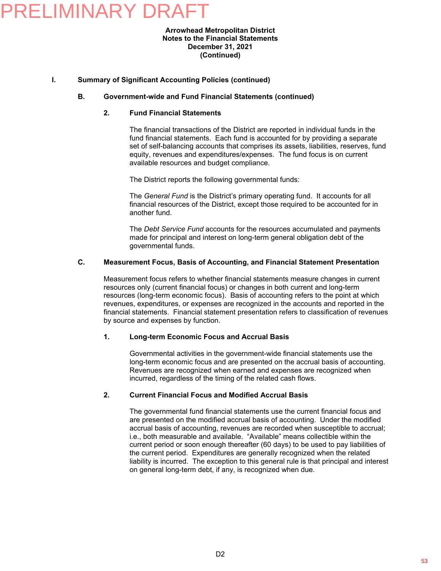#### **Arrowhead Metropolitan District Notes to the Financial Statements December 31, 2021 (Continued)**

#### **I. Summary of Significant Accounting Policies (continued)**

#### **B. Government-wide and Fund Financial Statements (continued)**

#### **2. Fund Financial Statements**

The financial transactions of the District are reported in individual funds in the fund financial statements. Each fund is accounted for by providing a separate set of self-balancing accounts that comprises its assets, liabilities, reserves, fund equity, revenues and expenditures/expenses. The fund focus is on current available resources and budget compliance.

The District reports the following governmental funds:

The *General Fund* is the District's primary operating fund. It accounts for all financial resources of the District, except those required to be accounted for in another fund.

The *Debt Service Fund* accounts for the resources accumulated and payments made for principal and interest on long-term general obligation debt of the governmental funds.

#### **C. Measurement Focus, Basis of Accounting, and Financial Statement Presentation**

Measurement focus refers to whether financial statements measure changes in current resources only (current financial focus) or changes in both current and long-term resources (long-term economic focus). Basis of accounting refers to the point at which revenues, expenditures, or expenses are recognized in the accounts and reported in the financial statements. Financial statement presentation refers to classification of revenues by source and expenses by function.

#### **1. Long-term Economic Focus and Accrual Basis**

Governmental activities in the government-wide financial statements use the long-term economic focus and are presented on the accrual basis of accounting. Revenues are recognized when earned and expenses are recognized when incurred, regardless of the timing of the related cash flows.

#### **2. Current Financial Focus and Modified Accrual Basis**

The governmental fund financial statements use the current financial focus and are presented on the modified accrual basis of accounting. Under the modified accrual basis of accounting, revenues are recorded when susceptible to accrual; i.e., both measurable and available. "Available" means collectible within the current period or soon enough thereafter (60 days) to be used to pay liabilities of the current period. Expenditures are generally recognized when the related liability is incurred. The exception to this general rule is that principal and interest on general long-term debt, if any, is recognized when due.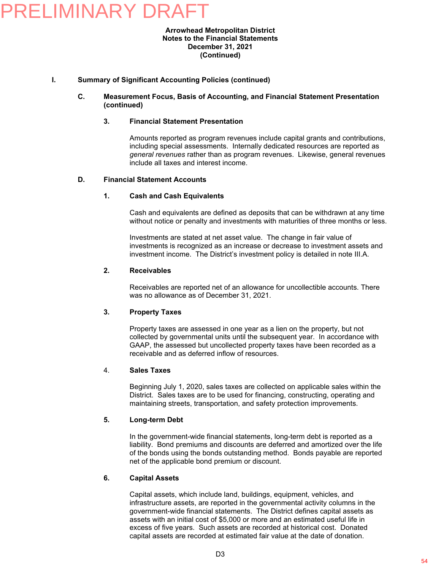#### **Arrowhead Metropolitan District Notes to the Financial Statements December 31, 2021 (Continued)**

#### **I. Summary of Significant Accounting Policies (continued)**

#### **C. Measurement Focus, Basis of Accounting, and Financial Statement Presentation (continued)**

#### **3. Financial Statement Presentation**

Amounts reported as program revenues include capital grants and contributions, including special assessments. Internally dedicated resources are reported as *general revenues* rather than as program revenues. Likewise, general revenues include all taxes and interest income.

#### **D. Financial Statement Accounts**

#### **1. Cash and Cash Equivalents**

Cash and equivalents are defined as deposits that can be withdrawn at any time without notice or penalty and investments with maturities of three months or less.

Investments are stated at net asset value. The change in fair value of investments is recognized as an increase or decrease to investment assets and investment income. The District's investment policy is detailed in note III.A.

#### **2. Receivables**

Receivables are reported net of an allowance for uncollectible accounts. There was no allowance as of December 31, 2021.

#### **3. Property Taxes**

Property taxes are assessed in one year as a lien on the property, but not collected by governmental units until the subsequent year. In accordance with GAAP, the assessed but uncollected property taxes have been recorded as a receivable and as deferred inflow of resources.

#### 4. **Sales Taxes**

Beginning July 1, 2020, sales taxes are collected on applicable sales within the District. Sales taxes are to be used for financing, constructing, operating and maintaining streets, transportation, and safety protection improvements.

#### **5. Long-term Debt**

In the government-wide financial statements, long-term debt is reported as a liability. Bond premiums and discounts are deferred and amortized over the life of the bonds using the bonds outstanding method. Bonds payable are reported net of the applicable bond premium or discount.

#### **6. Capital Assets**

Capital assets, which include land, buildings, equipment, vehicles, and infrastructure assets, are reported in the governmental activity columns in the government-wide financial statements. The District defines capital assets as assets with an initial cost of \$5,000 or more and an estimated useful life in excess of five years. Such assets are recorded at historical cost. Donated capital assets are recorded at estimated fair value at the date of donation.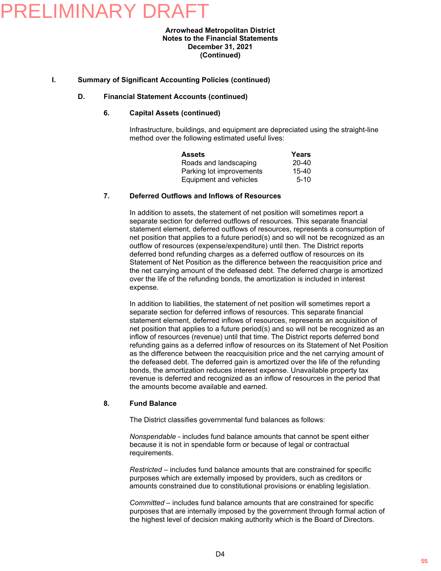### RFLIMINARY DRA

#### **Arrowhead Metropolitan District Notes to the Financial Statements December 31, 2021 (Continued)**

#### **I. Summary of Significant Accounting Policies (continued)**

#### **D. Financial Statement Accounts (continued)**

#### **6. Capital Assets (continued)**

Infrastructure, buildings, and equipment are depreciated using the straight-line method over the following estimated useful lives:

| <b>Assets</b>            | Years     |
|--------------------------|-----------|
| Roads and landscaping    | 20-40     |
| Parking lot improvements | $15 - 40$ |
| Equipment and vehicles   | $5-10$    |

#### **7. Deferred Outflows and Inflows of Resources**

In addition to assets, the statement of net position will sometimes report a separate section for deferred outflows of resources. This separate financial statement element, deferred outflows of resources, represents a consumption of net position that applies to a future period(s) and so will not be recognized as an outflow of resources (expense/expenditure) until then. The District reports deferred bond refunding charges as a deferred outflow of resources on its Statement of Net Position as the difference between the reacquisition price and the net carrying amount of the defeased debt. The deferred charge is amortized over the life of the refunding bonds, the amortization is included in interest expense.

In addition to liabilities, the statement of net position will sometimes report a separate section for deferred inflows of resources. This separate financial statement element, deferred inflows of resources, represents an acquisition of net position that applies to a future period(s) and so will not be recognized as an inflow of resources (revenue) until that time. The District reports deferred bond refunding gains as a deferred inflow of resources on its Statement of Net Position as the difference between the reacquisition price and the net carrying amount of the defeased debt. The deferred gain is amortized over the life of the refunding bonds, the amortization reduces interest expense. Unavailable property tax revenue is deferred and recognized as an inflow of resources in the period that the amounts become available and earned.

#### **8. Fund Balance**

The District classifies governmental fund balances as follows:

*Nonspendable* - includes fund balance amounts that cannot be spent either because it is not in spendable form or because of legal or contractual requirements.

*Restricted* – includes fund balance amounts that are constrained for specific purposes which are externally imposed by providers, such as creditors or amounts constrained due to constitutional provisions or enabling legislation.

*Committed* – includes fund balance amounts that are constrained for specific purposes that are internally imposed by the government through formal action of the highest level of decision making authority which is the Board of Directors.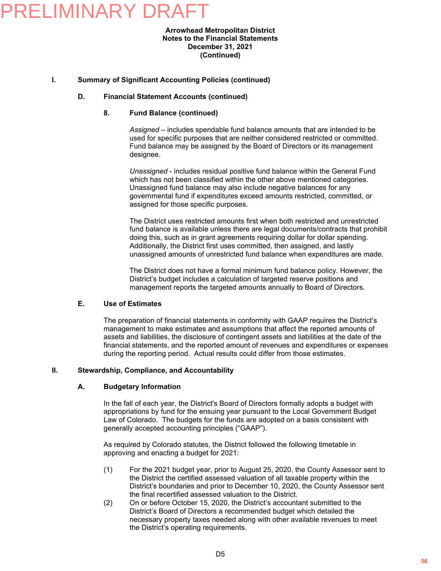#### **Arrowhead Metropolitan District Notes to the Financial Statements December 31, 2021 (Continued)**

#### **I. Summary of Significant Accounting Policies (continued)**

#### **D. Financial Statement Accounts (continued)**

#### **8. Fund Balance (continued)**

*Assigned* – includes spendable fund balance amounts that are intended to be used for specific purposes that are neither considered restricted or committed. Fund balance may be assigned by the Board of Directors or its management designee.

*Unassigned* - includes residual positive fund balance within the General Fund which has not been classified within the other above mentioned categories. Unassigned fund balance may also include negative balances for any governmental fund if expenditures exceed amounts restricted, committed, or assigned for those specific purposes.

The District uses restricted amounts first when both restricted and unrestricted fund balance is available unless there are legal documents/contracts that prohibit doing this, such as in grant agreements requiring dollar for dollar spending. Additionally, the District first uses committed, then assigned, and lastly unassigned amounts of unrestricted fund balance when expenditures are made.

The District does not have a formal minimum fund balance policy. However, the District's budget includes a calculation of targeted reserve positions and management reports the targeted amounts annually to Board of Directors.

#### **E. Use of Estimates**

The preparation of financial statements in conformity with GAAP requires the District's management to make estimates and assumptions that affect the reported amounts of assets and liabilities, the disclosure of contingent assets and liabilities at the date of the financial statements, and the reported amount of revenues and expenditures or expenses during the reporting period. Actual results could differ from those estimates.

#### **II. Stewardship, Compliance, and Accountability**

#### **A. Budgetary Information**

In the fall of each year, the District's Board of Directors formally adopts a budget with appropriations by fund for the ensuing year pursuant to the Local Government Budget Law of Colorado. The budgets for the funds are adopted on a basis consistent with generally accepted accounting principles ("GAAP").

As required by Colorado statutes, the District followed the following timetable in approving and enacting a budget for 2021:

- (1) For the 2021 budget year, prior to August 25, 2020, the County Assessor sent to the District the certified assessed valuation of all taxable property within the District's boundaries and prior to December 10, 2020, the County Assessor sent the final recertified assessed valuation to the District.
- (2) On or before October 15, 2020, the District's accountant submitted to the District's Board of Directors a recommended budget which detailed the necessary property taxes needed along with other available revenues to meet the District's operating requirements.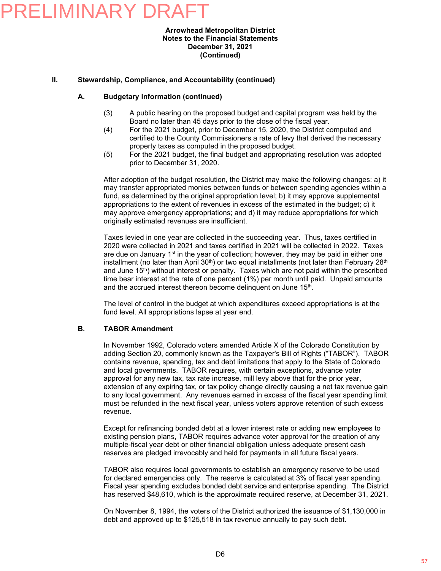#### **Arrowhead Metropolitan District Notes to the Financial Statements December 31, 2021 (Continued)**

#### **II. Stewardship, Compliance, and Accountability (continued)**

#### **A. Budgetary Information (continued)**

- (3) A public hearing on the proposed budget and capital program was held by the Board no later than 45 days prior to the close of the fiscal year.
- (4) For the 2021 budget, prior to December 15, 2020, the District computed and certified to the County Commissioners a rate of levy that derived the necessary property taxes as computed in the proposed budget.
- (5) For the 2021 budget, the final budget and appropriating resolution was adopted prior to December 31, 2020.

After adoption of the budget resolution, the District may make the following changes: a) it may transfer appropriated monies between funds or between spending agencies within a fund, as determined by the original appropriation level; b) it may approve supplemental appropriations to the extent of revenues in excess of the estimated in the budget; c) it may approve emergency appropriations; and d) it may reduce appropriations for which originally estimated revenues are insufficient.

Taxes levied in one year are collected in the succeeding year. Thus, taxes certified in 2020 were collected in 2021 and taxes certified in 2021 will be collected in 2022. Taxes are due on January  $1<sup>st</sup>$  in the year of collection; however, they may be paid in either one installment (no later than April  $30<sup>th</sup>$ ) or two equal installments (not later than February 28<sup>th</sup> and June 15<sup>th</sup>) without interest or penalty. Taxes which are not paid within the prescribed time bear interest at the rate of one percent (1%) per month until paid. Unpaid amounts and the accrued interest thereon become delinquent on June 15<sup>th</sup>.

The level of control in the budget at which expenditures exceed appropriations is at the fund level. All appropriations lapse at year end.

#### **B. TABOR Amendment**

In November 1992, Colorado voters amended Article X of the Colorado Constitution by adding Section 20, commonly known as the Taxpayer's Bill of Rights ("TABOR"). TABOR contains revenue, spending, tax and debt limitations that apply to the State of Colorado and local governments. TABOR requires, with certain exceptions, advance voter approval for any new tax, tax rate increase, mill levy above that for the prior year, extension of any expiring tax, or tax policy change directly causing a net tax revenue gain to any local government. Any revenues earned in excess of the fiscal year spending limit must be refunded in the next fiscal year, unless voters approve retention of such excess revenue.

Except for refinancing bonded debt at a lower interest rate or adding new employees to existing pension plans, TABOR requires advance voter approval for the creation of any multiple-fiscal year debt or other financial obligation unless adequate present cash reserves are pledged irrevocably and held for payments in all future fiscal years.

TABOR also requires local governments to establish an emergency reserve to be used for declared emergencies only. The reserve is calculated at 3% of fiscal year spending. Fiscal year spending excludes bonded debt service and enterprise spending. The District has reserved \$48,610, which is the approximate required reserve, at December 31, 2021.

On November 8, 1994, the voters of the District authorized the issuance of \$1,130,000 in debt and approved up to \$125,518 in tax revenue annually to pay such debt.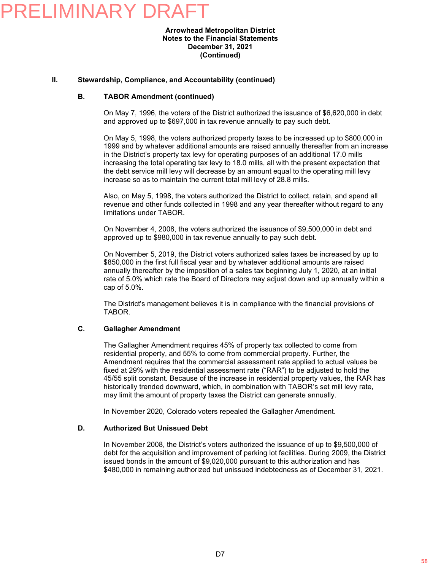#### **Arrowhead Metropolitan District Notes to the Financial Statements December 31, 2021 (Continued)**

#### **II. Stewardship, Compliance, and Accountability (continued)**

#### **B. TABOR Amendment (continued)**

On May 7, 1996, the voters of the District authorized the issuance of \$6,620,000 in debt and approved up to \$697,000 in tax revenue annually to pay such debt.

On May 5, 1998, the voters authorized property taxes to be increased up to \$800,000 in 1999 and by whatever additional amounts are raised annually thereafter from an increase in the District's property tax levy for operating purposes of an additional 17.0 mills increasing the total operating tax levy to 18.0 mills, all with the present expectation that the debt service mill levy will decrease by an amount equal to the operating mill levy increase so as to maintain the current total mill levy of 28.8 mills.

Also, on May 5, 1998, the voters authorized the District to collect, retain, and spend all revenue and other funds collected in 1998 and any year thereafter without regard to any limitations under TABOR.

On November 4, 2008, the voters authorized the issuance of \$9,500,000 in debt and approved up to \$980,000 in tax revenue annually to pay such debt.

On November 5, 2019, the District voters authorized sales taxes be increased by up to \$850,000 in the first full fiscal year and by whatever additional amounts are raised annually thereafter by the imposition of a sales tax beginning July 1, 2020, at an initial rate of 5.0% which rate the Board of Directors may adjust down and up annually within a cap of 5.0%.

The District's management believes it is in compliance with the financial provisions of TABOR.

#### **C. Gallagher Amendment**

The Gallagher Amendment requires 45% of property tax collected to come from residential property, and 55% to come from commercial property. Further, the Amendment requires that the commercial assessment rate applied to actual values be fixed at 29% with the residential assessment rate ("RAR") to be adjusted to hold the 45/55 split constant. Because of the increase in residential property values, the RAR has historically trended downward, which, in combination with TABOR's set mill levy rate, may limit the amount of property taxes the District can generate annually.

In November 2020, Colorado voters repealed the Gallagher Amendment.

#### **D. Authorized But Unissued Debt**

In November 2008, the District's voters authorized the issuance of up to \$9,500,000 of debt for the acquisition and improvement of parking lot facilities. During 2009, the District issued bonds in the amount of \$9,020,000 pursuant to this authorization and has \$480,000 in remaining authorized but unissued indebtedness as of December 31, 2021.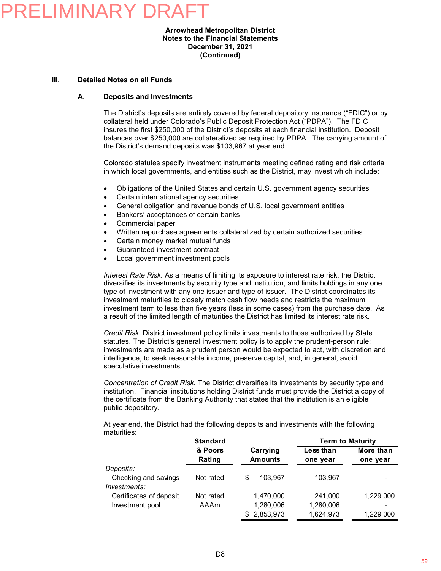#### **Arrowhead Metropolitan District Notes to the Financial Statements December 31, 2021 (Continued)**

#### **III. Detailed Notes on all Funds**

#### **A. Deposits and Investments**

The District's deposits are entirely covered by federal depository insurance ("FDIC") or by collateral held under Colorado's Public Deposit Protection Act ("PDPA"). The FDIC insures the first \$250,000 of the District's deposits at each financial institution. Deposit balances over \$250,000 are collateralized as required by PDPA. The carrying amount of the District's demand deposits was \$103,967 at year end.

Colorado statutes specify investment instruments meeting defined rating and risk criteria in which local governments, and entities such as the District, may invest which include:

- Obligations of the United States and certain U.S. government agency securities
- Certain international agency securities
- General obligation and revenue bonds of U.S. local government entities
- Bankers' acceptances of certain banks
- Commercial paper
- Written repurchase agreements collateralized by certain authorized securities
- Certain money market mutual funds
- Guaranteed investment contract
- Local government investment pools

*Interest Rate Risk.* As a means of limiting its exposure to interest rate risk, the District diversifies its investments by security type and institution, and limits holdings in any one type of investment with any one issuer and type of issuer. The District coordinates its investment maturities to closely match cash flow needs and restricts the maximum investment term to less than five years (less in some cases) from the purchase date. As a result of the limited length of maturities the District has limited its interest rate risk.

*Credit Risk.* District investment policy limits investments to those authorized by State statutes. The District's general investment policy is to apply the prudent-person rule: investments are made as a prudent person would be expected to act, with discretion and intelligence, to seek reasonable income, preserve capital, and, in general, avoid speculative investments.

*Concentration of Credit Risk.* The District diversifies its investments by security type and institution. Financial institutions holding District funds must provide the District a copy of the certificate from the Banking Authority that states that the institution is an eligible public depository.

At year end, the District had the following deposits and investments with the following maturities:

|                         | <b>Standard</b> |                | <b>Term to Maturity</b> |           |  |  |
|-------------------------|-----------------|----------------|-------------------------|-----------|--|--|
|                         | & Poors         | Carrying       | Less than               | More than |  |  |
|                         | Rating          | <b>Amounts</b> | one year                | one year  |  |  |
| Deposits:               |                 |                |                         |           |  |  |
| Checking and savings    | Not rated       | 103.967<br>\$  | 103.967                 | ۰         |  |  |
| Investments:            |                 |                |                         |           |  |  |
| Certificates of deposit | Not rated       | 1,470,000      | 241.000                 | 1,229,000 |  |  |
| Investment pool         | AAAm            | 1,280,006      | 1,280,006               | ۰         |  |  |
|                         |                 | 2,853,973<br>S | 1,624,973               | 1,229,000 |  |  |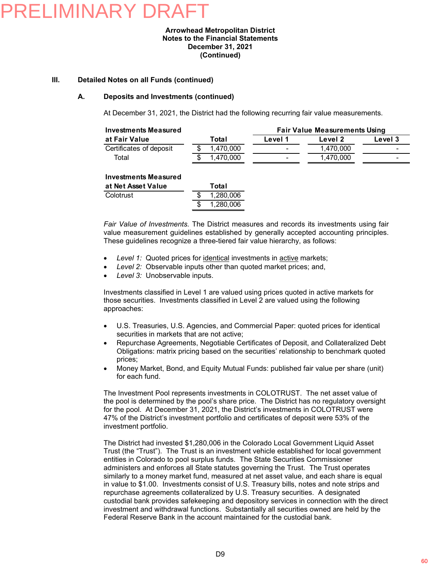#### **Arrowhead Metropolitan District Notes to the Financial Statements December 31, 2021 (Continued)**

#### **III. Detailed Notes on all Funds (continued)**

#### **A. Deposits and Investments (continued)**

At December 31, 2021, the District had the following recurring fair value measurements.

| <b>Investments Measured</b> |    |           | <b>Fair Value Measurements Using</b> |           |         |  |
|-----------------------------|----|-----------|--------------------------------------|-----------|---------|--|
| at Fair Value               |    | Total     | Level 1                              | Level 2   | Level 3 |  |
| Certificates of deposit     |    | 1,470,000 |                                      | 1,470,000 |         |  |
| Total                       | S. | 1,470,000 |                                      | 1,470,000 |         |  |
| <b>Investments Measured</b> |    |           |                                      |           |         |  |
| at Net Asset Value          |    | Total     |                                      |           |         |  |
|                             |    |           |                                      |           |         |  |
| Colotrust                   |    | .280.006  |                                      |           |         |  |

*Fair Value of Investments.* The District measures and records its investments using fair value measurement guidelines established by generally accepted accounting principles. These guidelines recognize a three-tiered fair value hierarchy, as follows:

*Level 1:* Quoted prices for identical investments in active markets;

\$ 1,280,006

- *Level 2:* Observable inputs other than quoted market prices; and,
- *Level 3:* Unobservable inputs.

Investments classified in Level 1 are valued using prices quoted in active markets for those securities. Investments classified in Level 2 are valued using the following approaches:

- U.S. Treasuries, U.S. Agencies, and Commercial Paper: quoted prices for identical securities in markets that are not active;
- Repurchase Agreements, Negotiable Certificates of Deposit, and Collateralized Debt Obligations: matrix pricing based on the securities' relationship to benchmark quoted prices;
- Money Market, Bond, and Equity Mutual Funds: published fair value per share (unit) for each fund.

The Investment Pool represents investments in COLOTRUST. The net asset value of the pool is determined by the pool's share price. The District has no regulatory oversight for the pool. At December 31, 2021, the District's investments in COLOTRUST were 47% of the District's investment portfolio and certificates of deposit were 53% of the investment portfolio.

The District had invested \$1,280,006 in the Colorado Local Government Liquid Asset Trust (the "Trust"). The Trust is an investment vehicle established for local government entities in Colorado to pool surplus funds. The State Securities Commissioner administers and enforces all State statutes governing the Trust. The Trust operates similarly to a money market fund, measured at net asset value, and each share is equal in value to \$1.00. Investments consist of U.S. Treasury bills, notes and note strips and repurchase agreements collateralized by U.S. Treasury securities. A designated custodial bank provides safekeeping and depository services in connection with the direct investment and withdrawal functions. Substantially all securities owned are held by the Federal Reserve Bank in the account maintained for the custodial bank.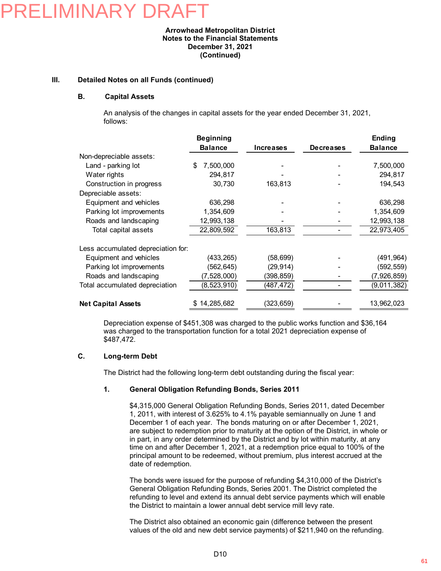### FI IMINARY DF

#### **Arrowhead Metropolitan District Notes to the Financial Statements December 31, 2021 (Continued)**

#### **III. Detailed Notes on all Funds (continued)**

#### **B. Capital Assets**

An analysis of the changes in capital assets for the year ended December 31, 2021, follows:

|                                    | <b>Beginning</b> |                  |                  | Ending         |
|------------------------------------|------------------|------------------|------------------|----------------|
|                                    | <b>Balance</b>   | <b>Increases</b> | <b>Decreases</b> | <b>Balance</b> |
| Non-depreciable assets:            |                  |                  |                  |                |
| Land - parking lot                 | \$<br>7,500,000  |                  |                  | 7,500,000      |
| Water rights                       | 294,817          |                  |                  | 294,817        |
| Construction in progress           | 30,730           | 163,813          |                  | 194,543        |
| Depreciable assets:                |                  |                  |                  |                |
| Equipment and vehicles             | 636,298          |                  |                  | 636,298        |
| Parking lot improvements           | 1,354,609        |                  |                  | 1,354,609      |
| Roads and landscaping              | 12,993,138       |                  |                  | 12,993,138     |
| Total capital assets               | 22,809,592       | 163,813          |                  | 22,973,405     |
| Less accumulated depreciation for: |                  |                  |                  |                |
| Equipment and vehicles             | (433, 265)       | (58, 699)        |                  | (491, 964)     |
| Parking lot improvements           | (562,645)        | (29, 914)        |                  | (592, 559)     |
| Roads and landscaping              | (7,528,000)      | (398,859)        |                  | (7,926,859)    |
| Total accumulated depreciation     | (8, 523, 910)    | (487, 472)       |                  | (9,011,382)    |
| <b>Net Capital Assets</b>          | \$14,285,682     | (323, 659)       |                  | 13,962,023     |

Depreciation expense of \$451,308 was charged to the public works function and \$36,164 was charged to the transportation function for a total 2021 depreciation expense of \$487,472.

#### **C. Long-term Debt**

The District had the following long-term debt outstanding during the fiscal year:

#### **1. General Obligation Refunding Bonds, Series 2011**

\$4,315,000 General Obligation Refunding Bonds, Series 2011, dated December 1, 2011, with interest of 3.625% to 4.1% payable semiannually on June 1 and December 1 of each year. The bonds maturing on or after December 1, 2021, are subject to redemption prior to maturity at the option of the District, in whole or in part, in any order determined by the District and by lot within maturity, at any time on and after December 1, 2021, at a redemption price equal to 100% of the principal amount to be redeemed, without premium, plus interest accrued at the date of redemption.

The bonds were issued for the purpose of refunding \$4,310,000 of the District's General Obligation Refunding Bonds, Series 2001. The District completed the refunding to level and extend its annual debt service payments which will enable the District to maintain a lower annual debt service mill levy rate.

The District also obtained an economic gain (difference between the present values of the old and new debt service payments) of \$211,940 on the refunding.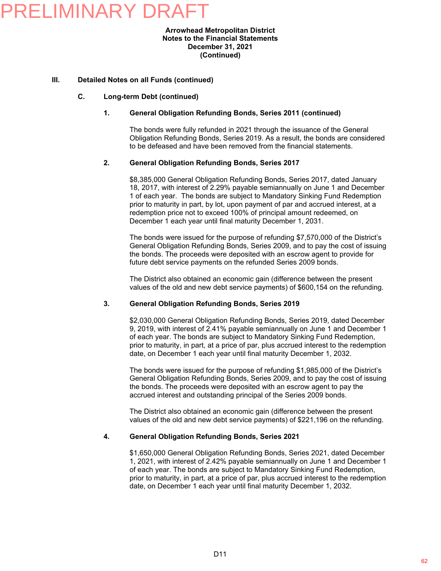#### **Arrowhead Metropolitan District Notes to the Financial Statements December 31, 2021 (Continued)**

#### **III. Detailed Notes on all Funds (continued)**

#### **C. Long-term Debt (continued)**

#### **1. General Obligation Refunding Bonds, Series 2011 (continued)**

The bonds were fully refunded in 2021 through the issuance of the General Obligation Refunding Bonds, Series 2019. As a result, the bonds are considered to be defeased and have been removed from the financial statements.

#### **2. General Obligation Refunding Bonds, Series 2017**

\$8,385,000 General Obligation Refunding Bonds, Series 2017, dated January 18, 2017, with interest of 2.29% payable semiannually on June 1 and December 1 of each year. The bonds are subject to Mandatory Sinking Fund Redemption prior to maturity in part, by lot, upon payment of par and accrued interest, at a redemption price not to exceed 100% of principal amount redeemed, on December 1 each year until final maturity December 1, 2031.

The bonds were issued for the purpose of refunding \$7,570,000 of the District's General Obligation Refunding Bonds, Series 2009, and to pay the cost of issuing the bonds. The proceeds were deposited with an escrow agent to provide for future debt service payments on the refunded Series 2009 bonds.

The District also obtained an economic gain (difference between the present values of the old and new debt service payments) of \$600,154 on the refunding.

#### **3. General Obligation Refunding Bonds, Series 2019**

\$2,030,000 General Obligation Refunding Bonds, Series 2019, dated December 9, 2019, with interest of 2.41% payable semiannually on June 1 and December 1 of each year. The bonds are subject to Mandatory Sinking Fund Redemption, prior to maturity, in part, at a price of par, plus accrued interest to the redemption date, on December 1 each year until final maturity December 1, 2032.

The bonds were issued for the purpose of refunding \$1,985,000 of the District's General Obligation Refunding Bonds, Series 2009, and to pay the cost of issuing the bonds. The proceeds were deposited with an escrow agent to pay the accrued interest and outstanding principal of the Series 2009 bonds.

The District also obtained an economic gain (difference between the present values of the old and new debt service payments) of \$221,196 on the refunding.

#### **4. General Obligation Refunding Bonds, Series 2021**

\$1,650,000 General Obligation Refunding Bonds, Series 2021, dated December 1, 2021, with interest of 2.42% payable semiannually on June 1 and December 1 of each year. The bonds are subject to Mandatory Sinking Fund Redemption, prior to maturity, in part, at a price of par, plus accrued interest to the redemption date, on December 1 each year until final maturity December 1, 2032.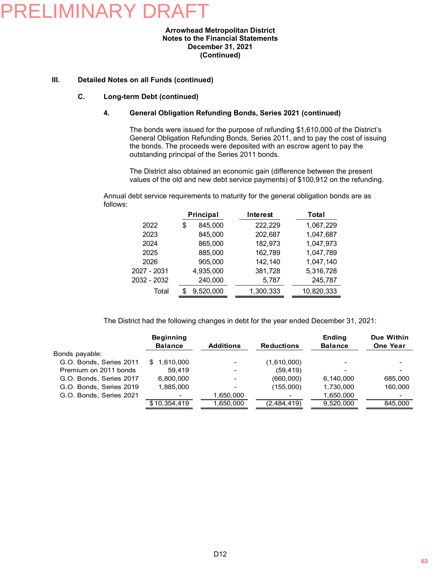#### **Arrowhead Metropolitan District Notes to the Financial Statements December 31, 2021 (Continued)**

#### **III. Detailed Notes on all Funds (continued)**

#### **C. Long-term Debt (continued)**

#### **4. General Obligation Refunding Bonds, Series 2021 (continued)**

The bonds were issued for the purpose of refunding \$1,610,000 of the District's General Obligation Refunding Bonds, Series 2011, and to pay the cost of issuing the bonds. The proceeds were deposited with an escrow agent to pay the outstanding principal of the Series 2011 bonds.

The District also obtained an economic gain (difference between the present values of the old and new debt service payments) of \$100,912 on the refunding.

Annual debt service requirements to maturity for the general obligation bonds are as follows:

|             | Principal |           | Interest  |            | Total |
|-------------|-----------|-----------|-----------|------------|-------|
| 2022        | \$        | 845,000   | 222,229   | 1,067,229  |       |
| 2023        |           | 845,000   | 202,687   | 1,047,687  |       |
| 2024        |           | 865,000   | 182,973   | 1,047,973  |       |
| 2025        |           | 885,000   | 162,789   | 1,047,789  |       |
| 2026        |           | 905,000   | 142,140   | 1,047,140  |       |
| 2027 - 2031 |           | 4,935,000 | 381,728   | 5,316,728  |       |
| 2032 - 2032 |           | 240,000   | 5,787     | 245,787    |       |
| Total       |           | 9,520,000 | 1,300,333 | 10,820,333 |       |

The District had the following changes in debt for the year ended December 31, 2021:

|                         | <b>Beginning</b><br><b>Balance</b> | <b>Additions</b> | <b>Reductions</b> | <b>Ending</b><br><b>Balance</b> | Due Within<br><b>One Year</b> |
|-------------------------|------------------------------------|------------------|-------------------|---------------------------------|-------------------------------|
| Bonds payable:          |                                    |                  |                   |                                 |                               |
| G.O. Bonds, Series 2011 | 1,610,000<br>\$.                   |                  | (1,610,000)       | -                               | $\overline{\phantom{a}}$      |
| Premium on 2011 bonds   | 59.419                             |                  | (59, 419)         |                                 | $\overline{\phantom{0}}$      |
| G.O. Bonds, Series 2017 | 6,800,000                          |                  | (660,000)         | 6,140,000                       | 685,000                       |
| G.O. Bonds, Series 2019 | 1.885.000                          |                  | (155,000)         | 1,730,000                       | 160,000                       |
| G.O. Bonds, Series 2021 | ٠                                  | 1,650,000        |                   | 1,650,000                       | $\overline{\phantom{0}}$      |
|                         | \$10.354.419                       | 1.650.000        | (2,484,419)       | 9.520.000                       | 845.000                       |
|                         |                                    |                  |                   |                                 |                               |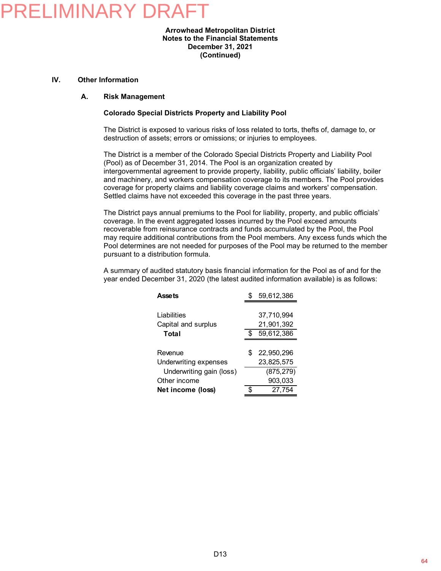#### **Arrowhead Metropolitan District Notes to the Financial Statements December 31, 2021 (Continued)**

#### **IV. Other Information**

#### **A. Risk Management**

#### **Colorado Special Districts Property and Liability Pool**

The District is exposed to various risks of loss related to torts, thefts of, damage to, or destruction of assets; errors or omissions; or injuries to employees.

The District is a member of the Colorado Special Districts Property and Liability Pool (Pool) as of December 31, 2014. The Pool is an organization created by intergovernmental agreement to provide property, liability, public officials' liability, boiler and machinery, and workers compensation coverage to its members. The Pool provides coverage for property claims and liability coverage claims and workers' compensation. Settled claims have not exceeded this coverage in the past three years.

The District pays annual premiums to the Pool for liability, property, and public officials' coverage. In the event aggregated losses incurred by the Pool exceed amounts recoverable from reinsurance contracts and funds accumulated by the Pool, the Pool may require additional contributions from the Pool members. Any excess funds which the Pool determines are not needed for purposes of the Pool may be returned to the member pursuant to a distribution formula.

A summary of audited statutory basis financial information for the Pool as of and for the year ended December 31, 2020 (the latest audited information available) is as follows:

| <b>Assets</b>            | 59,612,386       |
|--------------------------|------------------|
|                          |                  |
| Liabilities              | 37,710,994       |
| Capital and surplus      | 21,901,392       |
| Total                    | \$<br>59,612,386 |
|                          |                  |
| Revenue                  | \$<br>22.950.296 |
| Underwriting expenses    | 23,825,575       |
| Underwriting gain (loss) | (875, 279)       |
| Other income             | 903,033          |
| Net income (loss)        | \$<br>27,754     |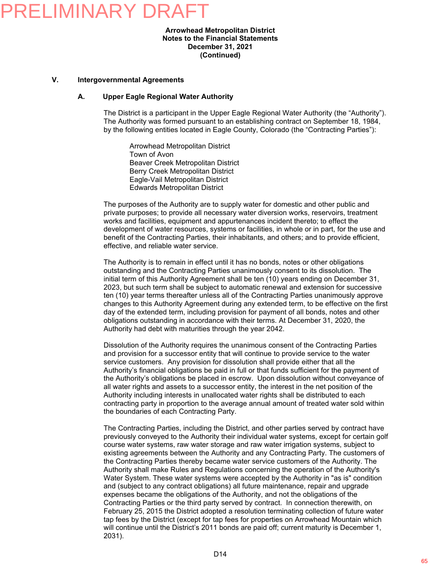#### **Arrowhead Metropolitan District Notes to the Financial Statements December 31, 2021 (Continued)**

#### **V. Intergovernmental Agreements**

#### **A. Upper Eagle Regional Water Authority**

The District is a participant in the Upper Eagle Regional Water Authority (the "Authority"). The Authority was formed pursuant to an establishing contract on September 18, 1984, by the following entities located in Eagle County, Colorado (the "Contracting Parties"):

Arrowhead Metropolitan District Town of Avon Beaver Creek Metropolitan District Berry Creek Metropolitan District Eagle-Vail Metropolitan District Edwards Metropolitan District

The purposes of the Authority are to supply water for domestic and other public and private purposes; to provide all necessary water diversion works, reservoirs, treatment works and facilities, equipment and appurtenances incident thereto; to effect the development of water resources, systems or facilities, in whole or in part, for the use and benefit of the Contracting Parties, their inhabitants, and others; and to provide efficient, effective, and reliable water service.

The Authority is to remain in effect until it has no bonds, notes or other obligations outstanding and the Contracting Parties unanimously consent to its dissolution. The initial term of this Authority Agreement shall be ten (10) years ending on December 31, 2023, but such term shall be subject to automatic renewal and extension for successive ten (10) year terms thereafter unless all of the Contracting Parties unanimously approve changes to this Authority Agreement during any extended term, to be effective on the first day of the extended term, including provision for payment of all bonds, notes and other obligations outstanding in accordance with their terms. At December 31, 2020, the Authority had debt with maturities through the year 2042.

Dissolution of the Authority requires the unanimous consent of the Contracting Parties and provision for a successor entity that will continue to provide service to the water service customers. Any provision for dissolution shall provide either that all the Authority's financial obligations be paid in full or that funds sufficient for the payment of the Authority's obligations be placed in escrow. Upon dissolution without conveyance of all water rights and assets to a successor entity, the interest in the net position of the Authority including interests in unallocated water rights shall be distributed to each contracting party in proportion to the average annual amount of treated water sold within the boundaries of each Contracting Party.

The Contracting Parties, including the District, and other parties served by contract have previously conveyed to the Authority their individual water systems, except for certain golf course water systems, raw water storage and raw water irrigation systems, subject to existing agreements between the Authority and any Contracting Party. The customers of the Contracting Parties thereby became water service customers of the Authority. The Authority shall make Rules and Regulations concerning the operation of the Authority's Water System. These water systems were accepted by the Authority in "as is" condition and (subject to any contract obligations) all future maintenance, repair and upgrade expenses became the obligations of the Authority, and not the obligations of the Contracting Parties or the third party served by contract. In connection therewith, on February 25, 2015 the District adopted a resolution terminating collection of future water tap fees by the District (except for tap fees for properties on Arrowhead Mountain which will continue until the District's 2011 bonds are paid off; current maturity is December 1, 2031).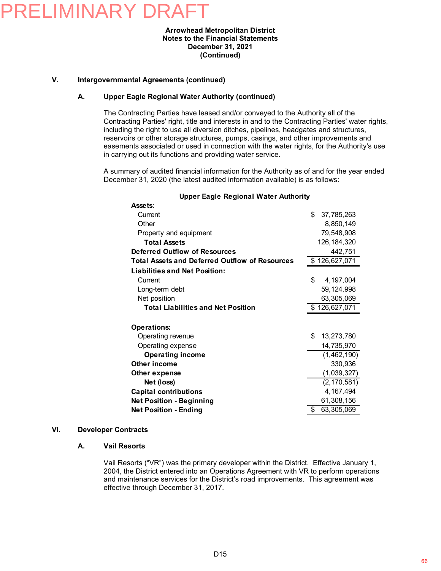#### **Arrowhead Metropolitan District Notes to the Financial Statements December 31, 2021 (Continued)**

#### **V. Intergovernmental Agreements (continued)**

#### **A. Upper Eagle Regional Water Authority (continued)**

The Contracting Parties have leased and/or conveyed to the Authority all of the Contracting Parties' right, title and interests in and to the Contracting Parties' water rights, including the right to use all diversion ditches, pipelines, headgates and structures, reservoirs or other storage structures, pumps, casings, and other improvements and easements associated or used in connection with the water rights, for the Authority's use in carrying out its functions and providing water service.

A summary of audited financial information for the Authority as of and for the year ended December 31, 2020 (the latest audited information available) is as follows:

| Assets:                                               |                  |
|-------------------------------------------------------|------------------|
| Current                                               | \$<br>37,785,263 |
| Other                                                 | 8,850,149        |
| Property and equipment                                | 79,548,908       |
| <b>Total Assets</b>                                   | 126, 184, 320    |
| Deferred Outflow of Resources                         | 442,751          |
| <b>Total Assets and Deferred Outflow of Resources</b> | \$126,627,071    |
| <b>Liabilities and Net Position:</b>                  |                  |
| Current                                               | \$<br>4,197,004  |
| Long-term debt                                        | 59, 124, 998     |
| Net position                                          | 63,305,069       |
| <b>Total Liabilities and Net Position</b>             | \$126,627,071    |
|                                                       |                  |
| <b>Operations:</b>                                    |                  |
| Operating revenue                                     | \$<br>13,273,780 |
| Operating expense                                     | 14,735,970       |
| <b>Operating income</b>                               | (1,462,190)      |
| Other income                                          | 330,936          |
| Other expense                                         | (1,039,327)      |
| Net (loss)                                            | (2, 170, 581)    |
| <b>Capital contributions</b>                          | 4,167,494        |
| <b>Net Position - Beginning</b>                       | 61,308,156       |
| <b>Net Position - Ending</b>                          | \$<br>63,305,069 |

#### **Upper Eagle Regional Water Authority**

### **VI. Developer Contracts**

#### **A. Vail Resorts**

Vail Resorts ("VR") was the primary developer within the District. Effective January 1, 2004, the District entered into an Operations Agreement with VR to perform operations and maintenance services for the District's road improvements. This agreement was effective through December 31, 2017.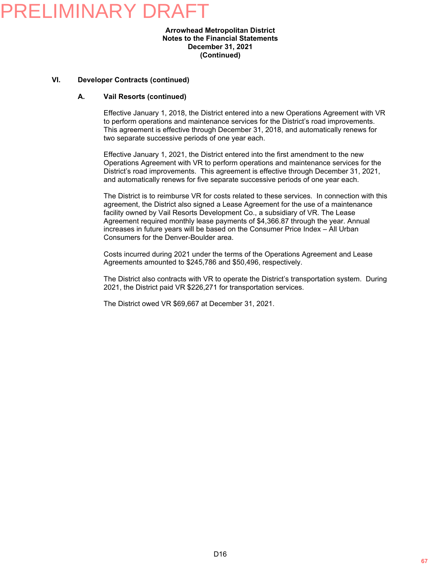#### **Arrowhead Metropolitan District Notes to the Financial Statements December 31, 2021 (Continued)**

#### **VI. Developer Contracts (continued)**

#### **A. Vail Resorts (continued)**

Effective January 1, 2018, the District entered into a new Operations Agreement with VR to perform operations and maintenance services for the District's road improvements. This agreement is effective through December 31, 2018, and automatically renews for two separate successive periods of one year each.

Effective January 1, 2021, the District entered into the first amendment to the new Operations Agreement with VR to perform operations and maintenance services for the District's road improvements. This agreement is effective through December 31, 2021, and automatically renews for five separate successive periods of one year each.

The District is to reimburse VR for costs related to these services. In connection with this agreement, the District also signed a Lease Agreement for the use of a maintenance facility owned by Vail Resorts Development Co., a subsidiary of VR. The Lease Agreement required monthly lease payments of \$4,366.87 through the year. Annual increases in future years will be based on the Consumer Price Index – All Urban Consumers for the Denver-Boulder area.

Costs incurred during 2021 under the terms of the Operations Agreement and Lease Agreements amounted to \$245,786 and \$50,496, respectively.

The District also contracts with VR to operate the District's transportation system. During 2021, the District paid VR \$226,271 for transportation services.

The District owed VR \$69,667 at December 31, 2021.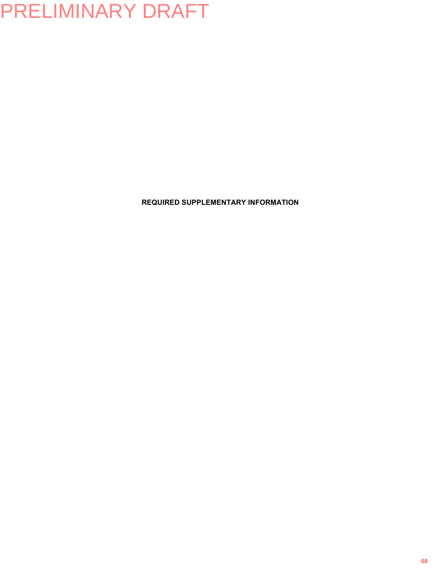**REQUIRED SUPPLEMENTARY INFORMATION**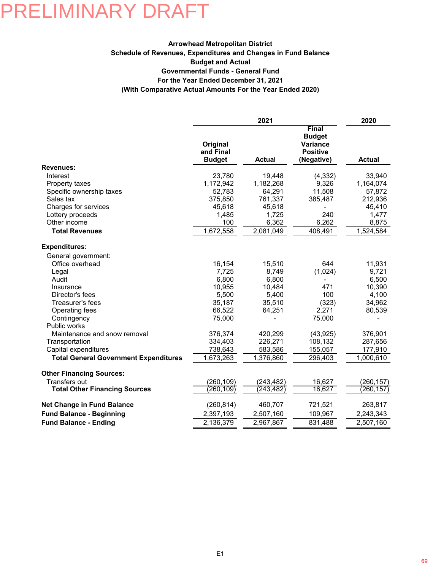#### **Schedule of Revenues, Expenditures and Changes in Fund Balance Arrowhead Metropolitan District (With Comparative Actual Amounts For the Year Ended 2020) For the Year Ended December 31, 2021 Governmental Funds - General Fund Budget and Actual**

|                                              |                                        | 2021                |                                                                            | 2020              |
|----------------------------------------------|----------------------------------------|---------------------|----------------------------------------------------------------------------|-------------------|
|                                              | Original<br>and Final<br><b>Budget</b> | <b>Actual</b>       | Final<br><b>Budget</b><br><b>Variance</b><br><b>Positive</b><br>(Negative) | <b>Actual</b>     |
| <b>Revenues:</b>                             |                                        |                     |                                                                            |                   |
| Interest                                     | 23,780                                 | 19,448              | (4, 332)                                                                   | 33,940            |
| Property taxes                               | 1,172,942                              | 1,182,268<br>64,291 | 9,326<br>11,508                                                            | 1,164,074         |
| Specific ownership taxes<br>Sales tax        | 52,783<br>375,850                      | 761,337             | 385,487                                                                    | 57,872<br>212,936 |
| Charges for services                         | 45,618                                 | 45,618              |                                                                            | 45,410            |
| Lottery proceeds                             | 1,485                                  | 1,725               | 240                                                                        | 1,477             |
| Other income                                 | 100                                    | 6,362               | 6,262                                                                      | 8,875             |
| <b>Total Revenues</b>                        | 1,672,558                              | 2,081,049           | 408,491                                                                    | 1,524,584         |
| <b>Expenditures:</b>                         |                                        |                     |                                                                            |                   |
| General government:                          |                                        |                     |                                                                            |                   |
| Office overhead                              | 16,154                                 | 15,510              | 644                                                                        | 11,931            |
| Legal                                        | 7,725                                  | 8,749               | (1,024)                                                                    | 9,721             |
| Audit                                        | 6,800                                  | 6,800               |                                                                            | 6,500             |
| Insurance                                    | 10,955                                 | 10,484              | 471                                                                        | 10,390            |
| Director's fees                              | 5,500                                  | 5,400               | 100                                                                        | 4,100             |
| Treasurer's fees                             | 35,187                                 | 35,510              | (323)                                                                      | 34,962            |
| Operating fees                               | 66,522                                 | 64,251              | 2,271                                                                      | 80,539            |
| Contingency<br>Public works                  | 75,000                                 |                     | 75,000                                                                     |                   |
| Maintenance and snow removal                 | 376,374                                | 420,299             | (43, 925)                                                                  | 376,901           |
| Transportation                               | 334,403                                | 226,271             | 108,132                                                                    | 287,656           |
| Capital expenditures                         | 738,643                                | 583,586             | 155,057                                                                    | 177,910           |
| <b>Total General Government Expenditures</b> | 1,673,263                              | 1,376,860           | 296,403                                                                    | 1,000,610         |
| <b>Other Financing Sources:</b>              |                                        |                     |                                                                            |                   |
| Transfers out                                | (260, 109)                             | (243, 482)          | 16,627                                                                     | (260,157)         |
| <b>Total Other Financing Sources</b>         | (260,109)                              | (243,482)           | 16,627                                                                     | (260,157)         |
| <b>Net Change in Fund Balance</b>            | (260, 814)                             | 460,707             | 721,521                                                                    | 263,817           |
| <b>Fund Balance - Beginning</b>              | 2,397,193                              | 2,507,160           | 109,967                                                                    | 2,243,343         |
| <b>Fund Balance - Ending</b>                 | 2,136,379                              | 2,967,867           | 831,488                                                                    | 2,507,160         |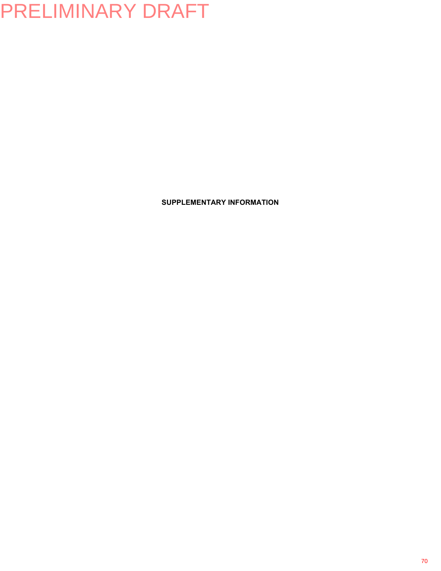**SUPPLEMENTARY INFORMATION**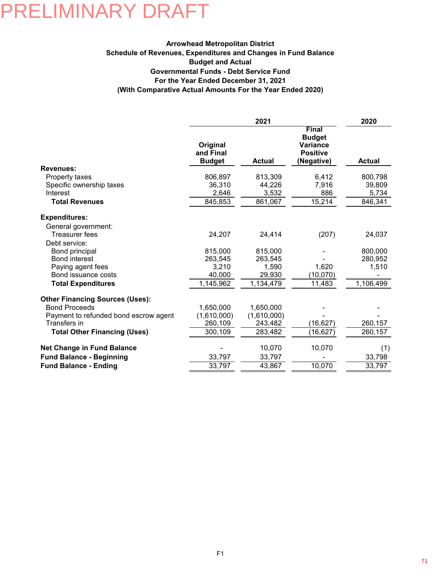### **Schedule of Revenues, Expenditures and Changes in Fund Balance Arrowhead Metropolitan District (With Comparative Actual Amounts For the Year Ended 2020) For the Year Ended December 31, 2021 Governmental Funds - Debt Service Fund Budget and Actual**

|                                        |                                        | 2021          |                                                                            | 2020          |
|----------------------------------------|----------------------------------------|---------------|----------------------------------------------------------------------------|---------------|
|                                        | Original<br>and Final<br><b>Budget</b> | <b>Actual</b> | Final<br><b>Budget</b><br><b>Variance</b><br><b>Positive</b><br>(Negative) | <b>Actual</b> |
| <b>Revenues:</b>                       |                                        |               |                                                                            |               |
| Property taxes                         | 806,897                                | 813,309       | 6,412                                                                      | 800,798       |
| Specific ownership taxes               | 36,310                                 | 44,226        | 7,916                                                                      | 39,809        |
| Interest                               | 2,646                                  | 3,532         | 886                                                                        | 5,734         |
| <b>Total Revenues</b>                  | 845,853                                | 861,067       | 15,214                                                                     | 846,341       |
| <b>Expenditures:</b>                   |                                        |               |                                                                            |               |
| General government:                    |                                        |               |                                                                            |               |
| Treasurer fees                         | 24,207                                 | 24,414        | (207)                                                                      | 24,037        |
| Debt service:                          |                                        |               |                                                                            |               |
| Bond principal                         | 815,000                                | 815,000       |                                                                            | 800,000       |
| <b>Bond interest</b>                   | 263,545                                | 263,545       |                                                                            | 280,952       |
| Paying agent fees                      | 3,210                                  | 1,590         | 1,620                                                                      | 1,510         |
| Bond issuance costs                    | 40,000                                 | 29,930        | (10,070)                                                                   |               |
| <b>Total Expenditures</b>              | 1,145,962                              | 1,134,479     | 11,483                                                                     | 1,106,499     |
| <b>Other Financing Sources (Uses):</b> |                                        |               |                                                                            |               |
| <b>Bond Proceeds</b>                   | 1,650,000                              | 1,650,000     |                                                                            |               |
| Payment to refunded bond escrow agent  | (1,610,000)                            | (1,610,000)   |                                                                            |               |
| Transfers in                           | 260,109                                | 243,482       | (16, 627)                                                                  | 260,157       |
| <b>Total Other Financing (Uses)</b>    | 300,109                                | 283,482       | (16, 627)                                                                  | 260,157       |
| Net Change in Fund Balance             |                                        | 10,070        | 10,070                                                                     | (1)           |
| <b>Fund Balance - Beginning</b>        | 33,797                                 | 33,797        |                                                                            | 33,798        |
| <b>Fund Balance - Ending</b>           | 33,797                                 | 43,867        | 10,070                                                                     | 33,797        |
|                                        |                                        |               |                                                                            |               |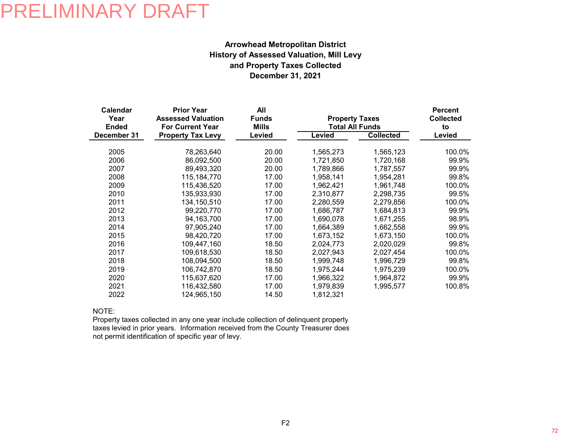### **December 31, 2021 and Property Taxes Collected History of Assessed Valuation, Mill Levy Arrowhead Metropolitan District**

| <b>Calendar</b><br>Year<br><b>Ended</b> | <b>Prior Year</b><br>All<br><b>Assessed Valuation</b><br><b>Funds</b><br><b>For Current Year</b><br><b>Mills</b> |        | <b>Property Taxes</b><br><b>Total All Funds</b> | <b>Percent</b><br><b>Collected</b><br>to |        |
|-----------------------------------------|------------------------------------------------------------------------------------------------------------------|--------|-------------------------------------------------|------------------------------------------|--------|
| December 31                             | <b>Property Tax Levy</b>                                                                                         | Levied | Levied                                          | <b>Collected</b>                         | Levied |
| 2005                                    | 78,263,640                                                                                                       | 20.00  | 1,565,273                                       | 1,565,123                                | 100.0% |
| 2006                                    | 86,092,500                                                                                                       | 20.00  | 1,721,850                                       | 1,720,168                                | 99.9%  |
| 2007                                    | 89,493,320                                                                                                       | 20.00  | 1,789,866                                       | 1,787,557                                | 99.9%  |
| 2008                                    | 115, 184, 770                                                                                                    | 17.00  | 1,958,141                                       | 1,954,281                                | 99.8%  |
| 2009                                    | 115,436,520                                                                                                      | 17.00  | 1.962.421                                       | 1,961,748                                | 100.0% |
| 2010                                    | 135,933,930                                                                                                      | 17.00  | 2,310,877                                       | 2,298,735                                | 99.5%  |
| 2011                                    | 134,150,510                                                                                                      | 17.00  | 2,280,559                                       | 2,279,856                                | 100.0% |
| 2012                                    | 99,220,770                                                                                                       | 17.00  | 1,686,787                                       | 1,684,813                                | 99.9%  |
| 2013                                    | 94,163,700                                                                                                       | 17.00  | 1,690,078                                       | 1,671,255                                | 98.9%  |
| 2014                                    | 97,905,240                                                                                                       | 17.00  | 1,664,389                                       | 1,662,558                                | 99.9%  |
| 2015                                    | 98,420,720                                                                                                       | 17.00  | 1,673,152                                       | 1,673,150                                | 100.0% |
| 2016                                    | 109,447,160                                                                                                      | 18.50  | 2,024,773                                       | 2,020,029                                | 99.8%  |
| 2017                                    | 109,618,530                                                                                                      | 18.50  | 2,027,943                                       | 2,027,454                                | 100.0% |
| 2018                                    | 108,094,500                                                                                                      | 18.50  | 1,999,748                                       | 1,996,729                                | 99.8%  |
| 2019                                    | 106,742,870                                                                                                      | 18.50  | 1,975,244                                       | 1,975,239                                | 100.0% |
| 2020                                    | 115,637,620                                                                                                      | 17.00  | 1,966,322                                       | 1,964,872                                | 99.9%  |
| 2021                                    | 116,432,580                                                                                                      | 17.00  | 1,979,839                                       | 1,995,577                                | 100.8% |
| 2022                                    | 124,965,150                                                                                                      | 14.50  | 1,812,321                                       |                                          |        |

NOTE:

Property taxes collected in any one year include collection of delinquent property taxes levied in prior years. Information received from the County Treasurer does not permit identification of specific year of levy.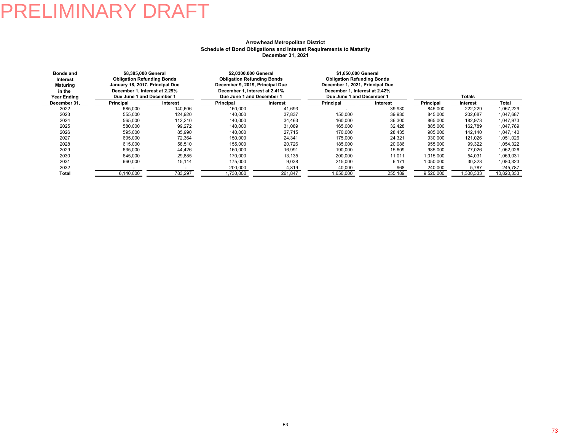#### **Arrowhead Metropolitan District December 31, 2021 Schedule of Bond Obligations and Interest Requirements to Maturity**

| <b>Bonds and</b><br>Interest<br><b>Maturing</b><br>in the<br><b>Year Ending</b> | \$8.385.000 General<br><b>Obligation Refunding Bonds</b><br>January 18, 2017, Principal Due<br>December 1, Interest at 2.29%<br>Due June 1 and December 1 |          | \$2.0300.000 General<br><b>Obligation Refunding Bonds</b><br>December 9, 2019, Principal Due<br>December 1. Interest at 2.41%<br>Due June 1 and December 1 |          | \$1,650,000 General<br><b>Obligation Refunding Bonds</b><br>December 1, 2021, Principal Due<br>December 1. Interest at 2.42%<br>Due June 1 and December 1 |          |           |           |            |
|---------------------------------------------------------------------------------|-----------------------------------------------------------------------------------------------------------------------------------------------------------|----------|------------------------------------------------------------------------------------------------------------------------------------------------------------|----------|-----------------------------------------------------------------------------------------------------------------------------------------------------------|----------|-----------|-----------|------------|
| December 31,                                                                    | Principal                                                                                                                                                 | Interest | Principal                                                                                                                                                  | Interest | Principal                                                                                                                                                 | Interest | Principal | Interest  | Total      |
| 2022                                                                            | 685,000                                                                                                                                                   | 140,606  | 160,000                                                                                                                                                    | 41,693   |                                                                                                                                                           | 39,930   | 845,000   | 222,229   | 1.067.229  |
| 2023                                                                            | 555,000                                                                                                                                                   | 124,920  | 140.000                                                                                                                                                    | 37,837   | 150,000                                                                                                                                                   | 39,930   | 845,000   | 202,687   | 1.047.687  |
| 2024                                                                            | 565,000                                                                                                                                                   | 112,210  | 140.000                                                                                                                                                    | 34,463   | 160,000                                                                                                                                                   | 36,300   | 865,000   | 182,973   | 1,047,973  |
| 2025                                                                            | 580,000                                                                                                                                                   | 99,272   | 140.000                                                                                                                                                    | 31,089   | 165,000                                                                                                                                                   | 32,428   | 885,000   | 162,789   | 1,047,789  |
| 2026                                                                            | 595,000                                                                                                                                                   | 85,990   | 140.000                                                                                                                                                    | 27.715   | 170,000                                                                                                                                                   | 28.435   | 905,000   | 142.140   | 1,047,140  |
| 2027                                                                            | 605.000                                                                                                                                                   | 72.364   | 150.000                                                                                                                                                    | 24.341   | 175,000                                                                                                                                                   | 24.321   | 930,000   | 121.026   | 1,051,026  |
| 2028                                                                            | 615,000                                                                                                                                                   | 58.510   | 155,000                                                                                                                                                    | 20.726   | 185,000                                                                                                                                                   | 20.086   | 955.000   | 99,322    | 1,054,322  |
| 2029                                                                            | 635.000                                                                                                                                                   | 44.426   | 160.000                                                                                                                                                    | 16.991   | 190.000                                                                                                                                                   | 15.609   | 985.000   | 77.026    | 1,062,026  |
| 2030                                                                            | 645,000                                                                                                                                                   | 29.885   | 170,000                                                                                                                                                    | 13.135   | 200,000                                                                                                                                                   | 11.011   | 1.015.000 | 54,031    | 1,069,031  |
| 2031                                                                            | 660,000                                                                                                                                                   | 15,114   | 175,000                                                                                                                                                    | 9.038    | 215,000                                                                                                                                                   | 6.171    | 1,050,000 | 30,323    | 1.080.323  |
| 2032                                                                            |                                                                                                                                                           |          | 200,000                                                                                                                                                    | 4,819    | 40,000                                                                                                                                                    | 968      | 240,000   | 5,787     | 245,787    |
| Total                                                                           | 6.140.000                                                                                                                                                 | 783.297  | 1.730.000                                                                                                                                                  | 261.847  | 1.650.000                                                                                                                                                 | 255.189  | 9.520.000 | 1.300.333 | 10.820.333 |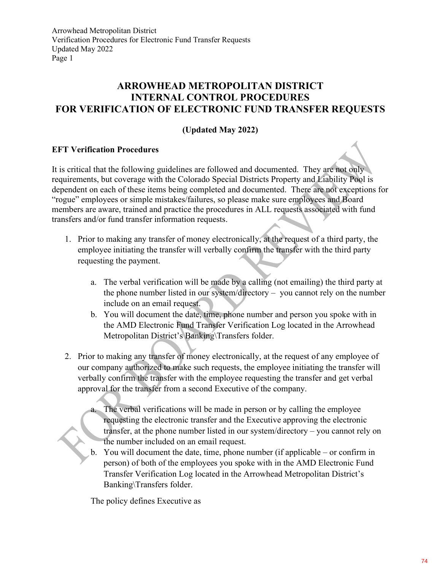### ARROWHEAD METROPOLITAN DISTRICT INTERNAL CONTROL PROCEDURES FOR VERIFICATION OF ELECTRONIC FUND TRANSFER REQUESTS

### (Updated May 2022)

### EFT Verification Procedures

It is critical that the following guidelines are followed and documented. They are not only requirements, but coverage with the Colorado Special Districts Property and Liability Pool is dependent on each of these items being completed and documented. There are not exceptions for "rogue" employees or simple mistakes/failures, so please make sure employees and Board members are aware, trained and practice the procedures in ALL requests associated with fund transfers and/or fund transfer information requests.

- 1. Prior to making any transfer of money electronically, at the request of a third party, the employee initiating the transfer will verbally confirm the transfer with the third party requesting the payment.
	- a. The verbal verification will be made by a calling (not emailing) the third party at the phone number listed in our system/directory – you cannot rely on the number include on an email request.
	- b. You will document the date, time, phone number and person you spoke with in the AMD Electronic Fund Transfer Verification Log located in the Arrowhead Metropolitan District's Banking\Transfers folder.
- 2. Prior to making any transfer of money electronically, at the request of any employee of our company authorized to make such requests, the employee initiating the transfer will verbally confirm the transfer with the employee requesting the transfer and get verbal approval for the transfer from a second Executive of the company.
	- The verbal verifications will be made in person or by calling the employee requesting the electronic transfer and the Executive approving the electronic transfer, at the phone number listed in our system/directory – you cannot rely on the number included on an email request.
	- b. You will document the date, time, phone number (if applicable or confirm in person) of both of the employees you spoke with in the AMD Electronic Fund Transfer Verification Log located in the Arrowhead Metropolitan District's Banking\Transfers folder.

The policy defines Executive as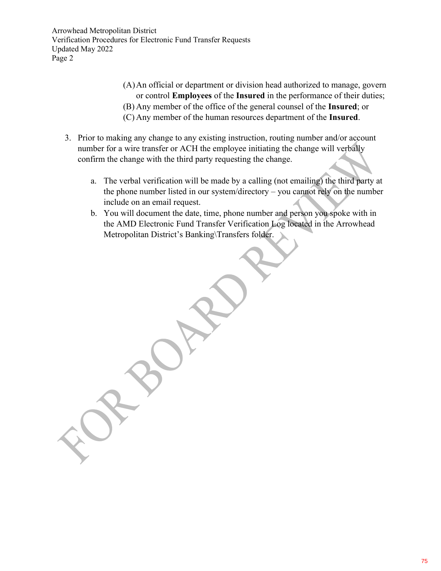Arrowhead Metropolitan District Verification Procedures for Electronic Fund Transfer Requests Updated May 2022 Page 2

- (A)An official or department or division head authorized to manage, govern or control Employees of the Insured in the performance of their duties;
- (B) Any member of the office of the general counsel of the Insured; or
- (C) Any member of the human resources department of the Insured.
- 3. Prior to making any change to any existing instruction, routing number and/or account number for a wire transfer or ACH the employee initiating the change will verbally confirm the change with the third party requesting the change.
	- a. The verbal verification will be made by a calling (not emailing) the third party at the phone number listed in our system/directory – you cannot rely on the number include on an email request.
	- b. You will document the date, time, phone number and person you spoke with in the AMD Electronic Fund Transfer Verification Log located in the Arrowhead Metropolitan District's Banking\Transfers folder.